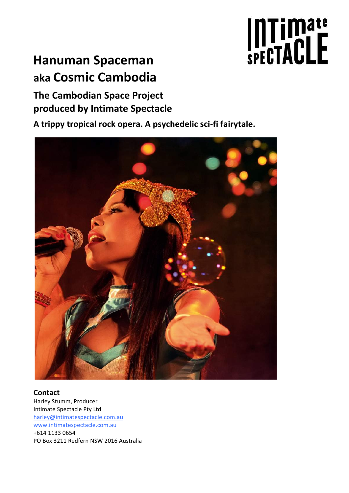# Intimate<br>spectACLE

# **Hanuman Spaceman aka Cosmic Cambodia**

# **The Cambodian Space Project produced by Intimate Spectacle**

A trippy tropical rock opera. A psychedelic sci-fi fairytale.



**Contact** Harley Stumm, Producer Intimate Spectacle Pty Ltd harley@intimatespectacle.com.au www.intimatespectacle.com.au +614 1133 0654 PO Box 3211 Redfern NSW 2016 Australia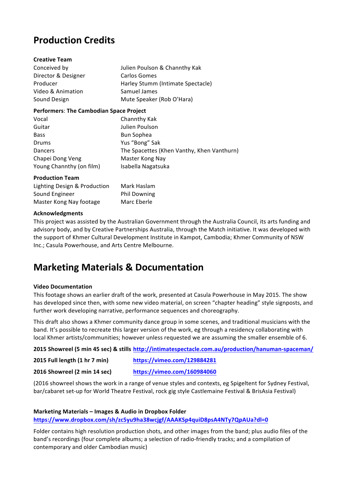# **Production Credits**

| <b>Creative Team</b>                           |                                            |
|------------------------------------------------|--------------------------------------------|
| Conceived by                                   | Julien Poulson & Channthy Kak              |
| Director & Designer                            | Carlos Gomes                               |
| Producer                                       | Harley Stumm (Intimate Spectacle)          |
| Video & Animation                              | Samuel James                               |
| Sound Design                                   | Mute Speaker (Rob O'Hara)                  |
| <b>Performers: The Cambodian Space Project</b> |                                            |
| Vocal                                          | Channthy Kak                               |
| Guitar                                         | Julien Poulson                             |
| Bass                                           | Bun Sophea                                 |
| Drums                                          | Yus "Bong" Sak                             |
| <b>Dancers</b>                                 | The Spacettes (Khen Vanthy, Khen Vanthurn) |
| Chapei Dong Veng                               | Master Kong Nay                            |
| Young Channthy (on film)                       | Isabella Nagatsuka                         |
| <b>Production Team</b>                         |                                            |
| Lighting Design & Production                   | Mark Haslam                                |

### **Acknowledgments**

This project was assisted by the Australian Government through the Australia Council, its arts funding and advisory body, and by Creative Partnerships Australia, through the Match initiative. It was developed with the support of Khmer Cultural Development Institute in Kampot, Cambodia; Khmer Community of NSW Inc.; Casula Powerhouse, and Arts Centre Melbourne.

## **Marketing Materials & Documentation**

Sound Engineer **Phil Downing** Master Kong Nay footage Marc Eberle

### **Video Documentation**

This footage shows an earlier draft of the work, presented at Casula Powerhouse in May 2015. The show has developed since then, with some new video material, on screen "chapter heading" style signposts, and further work developing narrative, performance sequences and choreography.

This draft also shows a Khmer community dance group in some scenes, and traditional musicians with the band. It's possible to recreate this larger version of the work, eg through a residency collaborating with local Khmer artists/communities; however unless requested we are assuming the smaller ensemble of 6.

**2015 Showreel (5 min 45 sec) & stills http://intimatespectacle.com.au/production/hanuman-spaceman/**

**2015 Full length (1 hr 7 min) https://vimeo.com/129884281**

**2016 Showreel (2 min 14 sec) https://vimeo.com/160984060**

(2016 showreel shows the work in a range of venue styles and contexts, eg Spigeltent for Sydney Festival, bar/cabaret set-up for World Theatre Festival, rock gig style Castlemaine Festival & BrisAsia Festival)

### **Marketing Materials – Images & Audio in Dropbox Folder**

**https://www.dropbox.com/sh/zc5yu9ha38wcjgf/AAAKSp4quiD8psA4NTy7QpAUa?dl=0**

Folder contains high resolution production shots, and other images from the band; plus audio files of the band's recordings (four complete albums; a selection of radio-friendly tracks; and a compilation of contemporary and older Cambodian music)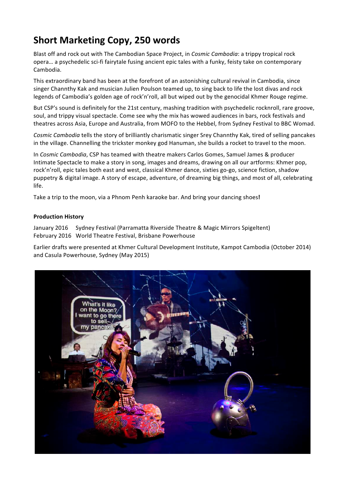# **Short Marketing Copy, 250 words**

Blast off and rock out with The Cambodian Space Project, in *Cosmic Cambodia*: a trippy tropical rock opera... a psychedelic sci-fi fairytale fusing ancient epic tales with a funky, feisty take on contemporary Cambodia.

This extraordinary band has been at the forefront of an astonishing cultural revival in Cambodia, since singer Channthy Kak and musician Julien Poulson teamed up, to sing back to life the lost divas and rock legends of Cambodia's golden age of rock'n'roll, all but wiped out by the genocidal Khmer Rouge regime.

But CSP's sound is definitely for the 21st century, mashing tradition with psychedelic rocknroll, rare groove, soul, and trippy visual spectacle. Come see why the mix has wowed audiences in bars, rock festivals and theatres across Asia, Europe and Australia, from MOFO to the Hebbel, from Sydney Festival to BBC Womad.

*Cosmic Cambodia* tells the story of brilliantly charismatic singer Srey Channthy Kak, tired of selling pancakes in the village. Channelling the trickster monkey god Hanuman, she builds a rocket to travel to the moon.

In *Cosmic Cambodia*, CSP has teamed with theatre makers Carlos Gomes, Samuel James & producer Intimate Spectacle to make a story in song, images and dreams, drawing on all our artforms: Khmer pop, rock'n'roll, epic tales both east and west, classical Khmer dance, sixties go-go, science fiction, shadow puppetry & digital image. A story of escape, adventure, of dreaming big things, and most of all, celebrating life.

Take a trip to the moon, via a Phnom Penh karaoke bar. And bring your dancing shoes!

### **Production History**

January 2016 Sydney Festival (Parramatta Riverside Theatre & Magic Mirrors Spigeltent) February 2016 World Theatre Festival, Brisbane Powerhouse

Earlier drafts were presented at Khmer Cultural Development Institute, Kampot Cambodia (October 2014) and Casula Powerhouse, Sydney (May 2015)

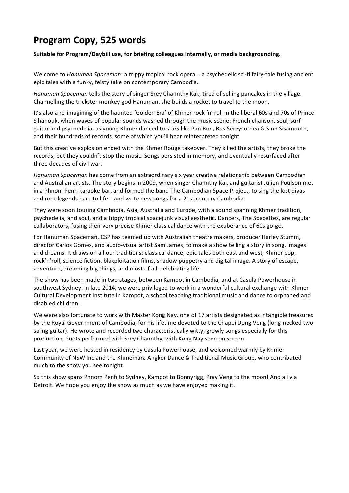# **Program Copy, 525 words**

Suitable for Program/Daybill use, for briefing colleagues internally, or media backgrounding.

Welcome to *Hanuman Spaceman*: a trippy tropical rock opera... a psychedelic sci-fi fairy-tale fusing ancient epic tales with a funky, feisty take on contemporary Cambodia.

*Hanuman Spaceman* tells the story of singer Srey Channthy Kak, tired of selling pancakes in the village. Channelling the trickster monkey god Hanuman, she builds a rocket to travel to the moon.

It's also a re-imagining of the haunted 'Golden Era' of Khmer rock 'n' roll in the liberal 60s and 70s of Prince Sihanouk, when waves of popular sounds washed through the music scene: French chanson, soul, surf guitar and psychedelia, as young Khmer danced to stars like Pan Ron, Ros Sereysothea & Sinn Sisamouth, and their hundreds of records, some of which you'll hear reinterpreted tonight.

But this creative explosion ended with the Khmer Rouge takeover. They killed the artists, they broke the records, but they couldn't stop the music. Songs persisted in memory, and eventually resurfaced after three decades of civil war.

*Hanuman Spaceman* has come from an extraordinary six year creative relationship between Cambodian and Australian artists. The story begins in 2009, when singer Channthy Kak and guitarist Julien Poulson met in a Phnom Penh karaoke bar, and formed the band The Cambodian Space Project, to sing the lost divas and rock legends back to life – and write new songs for a 21st century Cambodia

They were soon touring Cambodia, Asia, Australia and Europe, with a sound spanning Khmer tradition, psychedelia, and soul, and a trippy tropical spacejunk visual aesthetic. Dancers, The Spacettes, are regular collaborators, fusing their very precise Khmer classical dance with the exuberance of 60s go-go.

For Hanuman Spaceman, CSP has teamed up with Australian theatre makers, producer Harley Stumm, director Carlos Gomes, and audio-visual artist Sam James, to make a show telling a story in song, images and dreams. It draws on all our traditions: classical dance, epic tales both east and west, Khmer pop, rock'n'roll, science fiction, blaxploitation films, shadow puppetry and digital image. A story of escape, adventure, dreaming big things, and most of all, celebrating life.

The show has been made in two stages, between Kampot in Cambodia, and at Casula Powerhouse in southwest Sydney. In late 2014, we were privileged to work in a wonderful cultural exchange with Khmer Cultural Development Institute in Kampot, a school teaching traditional music and dance to orphaned and disabled children. 

We were also fortunate to work with Master Kong Nay, one of 17 artists designated as intangible treasures by the Royal Government of Cambodia, for his lifetime devoted to the Chapei Dong Veng (long-necked twostring guitar). He wrote and recorded two characteristically witty, growly songs especially for this production, duets performed with Srey Channthy, with Kong Nay seen on screen.

Last year, we were hosted in residency by Casula Powerhouse, and welcomed warmly by Khmer Community of NSW Inc and the Khmemara Angkor Dance & Traditional Music Group, who contributed much to the show you see tonight.

So this show spans Phnom Penh to Sydney, Kampot to Bonnyrigg, Pray Veng to the moon! And all via Detroit. We hope you enjoy the show as much as we have enjoyed making it.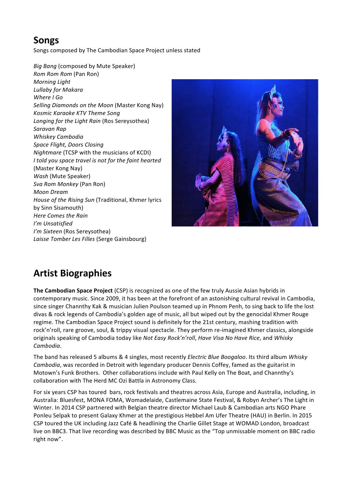# **Songs**

Songs composed by The Cambodian Space Project unless stated

*Big Bang* (composed by Mute Speaker) *Rom Rom Rom* (Pan Ron) *Morning Light Lullaby for Makara Where I Go* Selling Diamonds on the Moon (Master Kong Nay) *Kosmic Karaoke KTV Theme Song* Longing for the Light Rain (Ros Sereysothea) *Saravan Rap Whiskey Cambodia Space Flight, Doors Closing Nightmare* (TCSP with the musicians of KCDI) *I* told you space travel is not for the faint hearted (Master Kong Nay) Wash (Mute Speaker) *Sva Rom Monkey* (Pan Ron) *Moon Dream House of the Rising Sun* (Traditional, Khmer lyrics by Sinn Sisamouth) *Here Comes the Rain I'm Unsatisfied I'm Sixteen* (Ros Sereysothea) Laisse Tomber Les Filles (Serge Gainsbourg)



# **Artist Biographies**

**The Cambodian Space Project** (CSP) is recognized as one of the few truly Aussie Asian hybrids in contemporary music. Since 2009, it has been at the forefront of an astonishing cultural revival in Cambodia, since singer Channthy Kak & musician Julien Poulson teamed up in Phnom Penh, to sing back to life the lost divas & rock legends of Cambodia's golden age of music, all but wiped out by the genocidal Khmer Rouge regime. The Cambodian Space Project sound is definitely for the 21st century, mashing tradition with rock'n'roll, rare groove, soul, & trippy visual spectacle. They perform re-imagined Khmer classics, alongside originals speaking of Cambodia today like Not Easy Rock'n'roll, Have Visa No Have Rice, and Whisky *Cambodia*. 

The band has released 5 albums & 4 singles, most recently *Electric Blue Boogaloo*. Its third album *Whisky Cambodia*, was recorded in Detroit with legendary producer Dennis Coffey, famed as the guitarist in Motown's Funk Brothers. Other collaborations include with Paul Kelly on The Boat, and Channthy's collaboration with The Herd MC Ozi Battla in Astronomy Class.

For six years CSP has toured bars, rock festivals and theatres across Asia, Europe and Australia, including, in Australia: Bluesfest, MONA FOMA, Womadelaide, Castlemaine State Festival, & Robyn Archer's The Light in Winter. In 2014 CSP partnered with Belgian theatre director Michael Laub & Cambodian arts NGO Phare Ponleu Selpak to present Galaxy Khmer at the prestigious Hebbel Am Ufer Theatre (HAU) in Berlin. In 2015 CSP toured the UK including Jazz Café & headlining the Charlie Gillet Stage at WOMAD London, broadcast live on BBC3. That live recording was described by BBC Music as the "Top unmissable moment on BBC radio right now".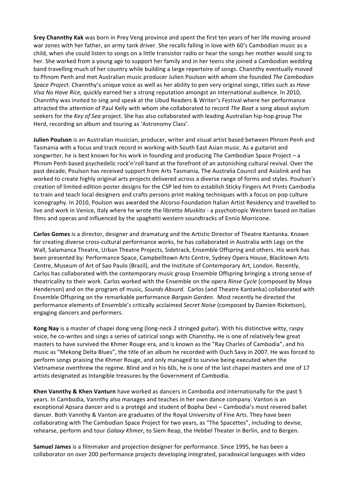**Srey Channthy Kak** was born in Prey Veng province and spent the first ten years of her life moving around war zones with her father, an army tank driver. She recalls falling in love with 60's Cambodian music as a child, when she could listen to songs on a little transistor radio or hear the songs her mother would sing to her. She worked from a young age to support her family and in her teens she joined a Cambodian wedding band travelling much of her country while building a large repertoire of songs. Channthy eventually moved to Phnom Penh and met Australian music producer Julien Poulson with whom she founded *The Cambodian Space Project*. Channthy's unique voice as well as her ability to pen very original songs, titles such as *Have* Visa No Have Rice, quickly earned her a strong reputation amongst an international audience. In 2010, Channthy was invited to sing and speak at the Ubud Readers & Writer's Festival where her performance attracted the attention of Paul Kelly with whom she collaborated to record *The Boat* a song about asylum seekers for the *Key of Sea* project. She has also collaborated with leading Australian hip-hop group The Herd, recording an album and touring as 'Astronomy Class'.

**Julien Poulson** is an Australian musician, producer, writer and visual artist based between Phnom Penh and Tasmania with a focus and track record in working with South East Asian music. As a guitarist and songwriter, he is best known for his work in founding and producing The Cambodian Space Project – a Phnom Penh based psychedelic rock'n'roll band at the forefront of an astonishing cultural revival. Over the past decade, Poulson has received support from Arts Tasmania, The Australia Council and Asialink and has worked to create highly original arts projects delivered across a diverse range of forms and styles. Poulson's creation of limited edition poster designs for the CSP led him to establish Sticky Fingers Art Prints Cambodia to train and teach local designers and crafts persons print making techniques with a focus on pop culture iconography. In 2010, Poulson was awarded the Alcorso Foundation Italian Artist Residency and travelled to live and work in Venice, Italy where he wrote the libretto *Muskito* - a psychotropic Western based on Italian films and operas and influenced by the spaghetti western soundtracks of Ennio Morricone.

**Carlos Gomes** is a director, designer and dramaturg and the Artistic Director of Theatre Kantanka. Known for creating diverse cross-cultural performance works, he has collaborated in Australia with Legs on the Wall, Salamanca Theatre, Urban Theatre Projects, Sidetrack, Ensemble Offspring and others. His work has been presented by: Performance Space, Campbelltown Arts Centre, Sydney Opera House, Blacktown Arts Centre, Museum of Art of Sao Paulo (Brazil), and the Institute of Contemporary Art, London. Recently, Carlos has collaborated with the contemporary music group Ensemble Offspring bringing a strong sense of theatricality to their work. Carlos worked with the Ensemble on the opera *Rinse Cycle* (composed by Moya Henderson) and on the program of music, *Sounds Absurd*. Carlos (and Theatre Kantanka) collaborated with Ensemble Offspring on the remarkable performance *Bargain Garden*. Most recently he directed the performance elements of Ensemble's critically acclaimed Secret Noise (composed by Damien Ricketson), engaging dancers and performers.

**Kong Nay** is a master of chapei dong veng (long-neck 2 stringed guitar). With his distinctive witty, raspy voice, he co-writes and sings a series of satirical songs with Channthy. He is one of relatively few great masters to have survived the Khmer Rouge era, and is known as the "Ray Charles of Cambodia", and his music as "Mekong Delta Blues", the title of an album he recorded with Ouch Savy in 2007. He was forced to perform songs praising the Khmer Rouge, and only managed to survive being executed when the Vietnamese overthrew the regime. Blind and in his 60s, he is one of the last chapei masters and one of 17 artists designated as Intangible treasures by the Government of Cambodia.

**Khen Vannthy & Khen Vanturn** have worked as dancers in Cambodia and internationally for the past 5 years. In Cambodia, Vannthy also manages and teaches in her own dance company. Vanton is an exceptional Apsara dancer and is a protégé and student of Bopha Devi – Cambodia's most revered ballet dancer. Both Vannthy & Vanton are graduates of the Royal University of Fine Arts. They have been collaborating with The Cambodian Space Project for two years, as "The Spacettes", including to devise, rehearse, perform and tour *Galaxy Khmer*, to Siem Reap, the Hebbel Theater in Berlin, and to Bergen.

**Samuel James** is a filmmaker and projection designer for performance. Since 1995, he has been a collaborator on over 200 performance projects developing integrated, paradoxical languages with video